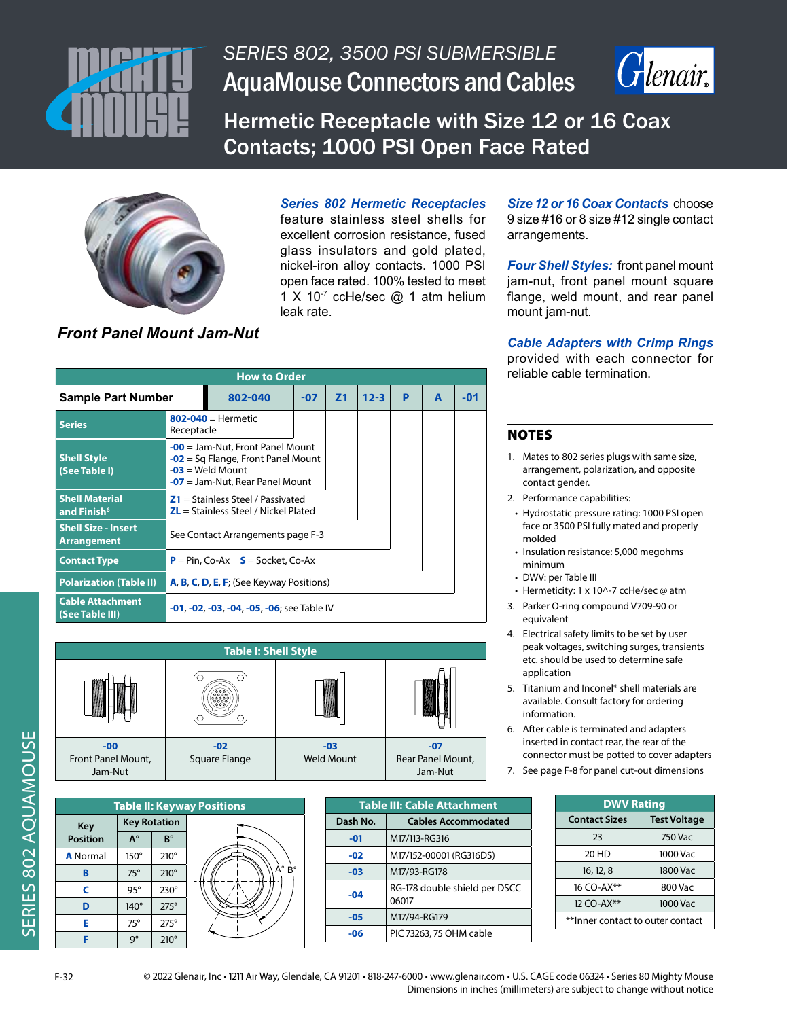



Hermetic Receptacle with Size 12 or 16 Coax Contacts; 1000 PSI Open Face Rated



## *Series 802 Hermetic Receptacles*

feature stainless steel shells for excellent corrosion resistance, fused glass insulators and gold plated, nickel-iron alloy contacts. 1000 PSI open face rated. 100% tested to meet 1 X 10<sup>-7</sup> ccHe/sec @ 1 atm helium leak rate.

*Size 12 or 16 Coax Contacts* choose 9 size #16 or 8 size #12 single contact arrangements.

*Four Shell Styles:* front panel mount jam-nut, front panel mount square flange, weld mount, and rear panel mount jam-nut.

# *Front Panel Mount Jam-Nut*

| <b>How to Order</b>                              |                                                                               |                                                                                                                                       |                |          |   |   |     |  |
|--------------------------------------------------|-------------------------------------------------------------------------------|---------------------------------------------------------------------------------------------------------------------------------------|----------------|----------|---|---|-----|--|
| <b>Sample Part Number</b>                        | 802-040                                                                       | $-07$                                                                                                                                 | Z <sub>1</sub> | $12 - 3$ | P | A | -01 |  |
| <b>Series</b>                                    | $802 - 040 =$ Hermetic<br>Receptacle                                          |                                                                                                                                       |                |          |   |   |     |  |
| <b>Shell Style</b><br>(See Table I)              |                                                                               | $-00$ = Jam-Nut, Front Panel Mount<br>$-02$ = Sq Flange, Front Panel Mount<br>$-03$ = Weld Mount<br>$-07$ = Jam-Nut, Rear Panel Mount |                |          |   |   |     |  |
| <b>Shell Material</b><br>and Finish <sup>6</sup> | $Z1 =$ Stainless Steel / Passivated<br>$ZL =$ Stainless Steel / Nickel Plated |                                                                                                                                       |                |          |   |   |     |  |
| <b>Shell Size - Insert</b><br><b>Arrangement</b> | See Contact Arrangements page F-3                                             |                                                                                                                                       |                |          |   |   |     |  |
| <b>Contact Type</b>                              | $P = Pin, Co-Ax S = Sockets, Co-Ax$                                           |                                                                                                                                       |                |          |   |   |     |  |
| <b>Polarization (Table II)</b>                   | A, B, C, D, E, F; (See Keyway Positions)                                      |                                                                                                                                       |                |          |   |   |     |  |
| <b>Cable Attachment</b><br>(See Table III)       | <b>-01, -02, -03, -04, -05, -06; see Table IV</b>                             |                                                                                                                                       |                |          |   |   |     |  |



| <b>Table II: Keyway Positions</b> |                     |             |  |  |  |  |
|-----------------------------------|---------------------|-------------|--|--|--|--|
| <b>Key</b>                        | <b>Key Rotation</b> |             |  |  |  |  |
| <b>Position</b>                   | $A^{\circ}$         | B°          |  |  |  |  |
| <b>A</b> Normal                   | $150^\circ$         | $210^\circ$ |  |  |  |  |
| B                                 | $75^\circ$          | $210^\circ$ |  |  |  |  |
| C                                 | $95^\circ$          | $230^\circ$ |  |  |  |  |
| D                                 | 140°                | $275^\circ$ |  |  |  |  |
| F                                 | 75°                 | $275^\circ$ |  |  |  |  |

| <b>Table III: Cable Attachment</b> |                                        |  |  |  |
|------------------------------------|----------------------------------------|--|--|--|
| Dash No.                           | <b>Cables Accommodated</b>             |  |  |  |
| $-01$                              | M17/113-RG316                          |  |  |  |
| $-02$                              | M17/152-00001 (RG316DS)                |  |  |  |
| $-03$                              | M17/93-RG178                           |  |  |  |
| $-04$                              | RG-178 double shield per DSCC<br>06017 |  |  |  |
| $-05$                              | M17/94-RG179                           |  |  |  |
| -06                                | PIC 73263, 75 OHM cable                |  |  |  |

## *Cable Adapters with Crimp Rings*

provided with each connector for reliable cable termination.

### NOTES

- 1. Mates to 802 series plugs with same size, arrangement, polarization, and opposite contact gender.
- 2. Performance capabilities:
- Hydrostatic pressure rating: 1000 PSI open face or 3500 PSI fully mated and properly molded
- Insulation resistance: 5,000 megohms minimum
- DWV: per Table III
- Hermeticity: 1 x 10^-7 ccHe/sec @ atm
- 3. Parker O-ring compound V709-90 or equivalent
- 4. Electrical safety limits to be set by user peak voltages, switching surges, transients etc. should be used to determine safe application
- 5. Titanium and Inconel® shell materials are available. Consult factory for ordering information.
- 6. After cable is terminated and adapters inserted in contact rear, the rear of the connector must be potted to cover adapters
- 7. See page F-8 for panel cut-out dimensions

| <b>DWV Rating</b>                |                     |  |  |  |
|----------------------------------|---------------------|--|--|--|
| <b>Contact Sizes</b>             | <b>Test Voltage</b> |  |  |  |
| 23                               | 750 Vac             |  |  |  |
| 20 HD                            | 1000 Vac            |  |  |  |
| 16, 12, 8                        | 1800 Vac            |  |  |  |
| 16 CO-AX**                       | 800 Vac             |  |  |  |
| 12 CO-AX**<br>1000 Vac           |                     |  |  |  |
| **Inner contact to outer contact |                     |  |  |  |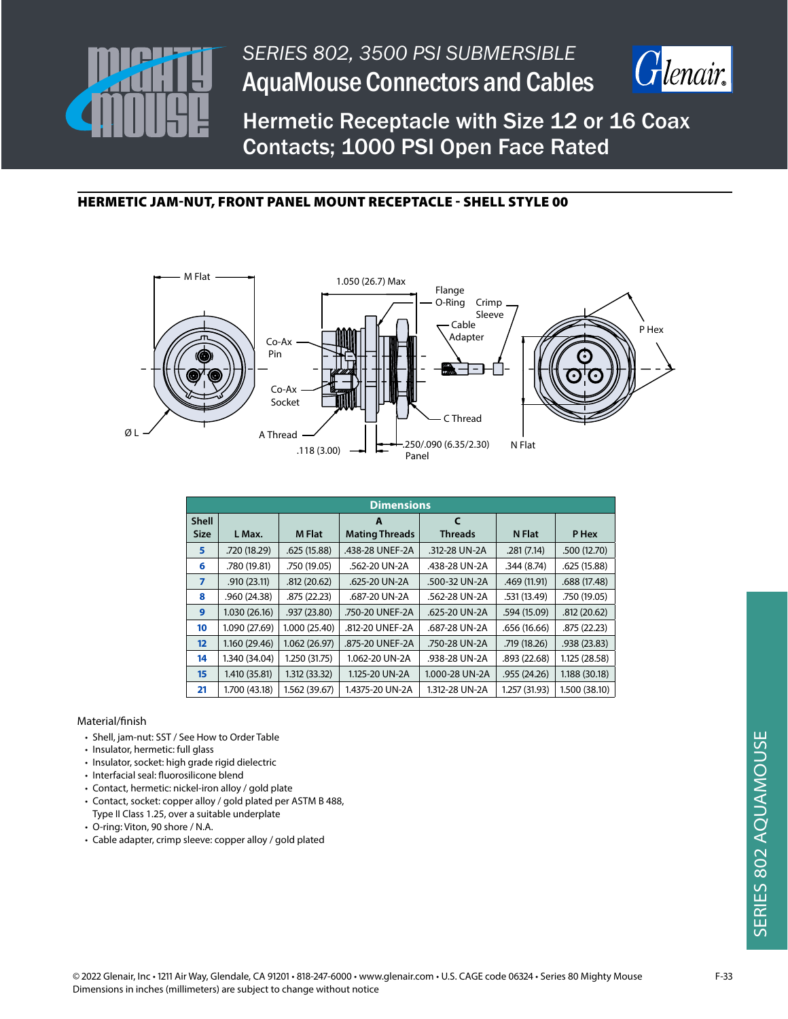



Hermetic Receptacle with Size 12 or 16 Coax Contacts; 1000 PSI Open Face Rated

## HERMETIC JAM-NUT, FRONT PANEL MOUNT RECEPTACLE - SHELL STYLE 00



|                   | <b>Dimensions</b> |               |                       |                |               |               |  |
|-------------------|-------------------|---------------|-----------------------|----------------|---------------|---------------|--|
| <b>Shell</b>      |                   |               | A                     | $\epsilon$     |               |               |  |
| <b>Size</b>       | L Max.            | <b>M Flat</b> | <b>Mating Threads</b> | <b>Threads</b> | N Flat        | P Hex         |  |
| 5                 | .720 (18.29)      | .625(15.88)   | .438-28 UNEF-2A       | .312-28 UN-2A  | .281(7.14)    | .500(12.70)   |  |
| 6                 | .780 (19.81)      | .750 (19.05)  | .562-20 UN-2A         | .438-28 UN-2A  | .344(8.74)    | .625 (15.88)  |  |
| $\overline{7}$    | .910(23.11)       | .812(20.62)   | .625-20 UN-2A         | .500-32 UN-2A  | .469 (11.91)  | .688 (17.48)  |  |
| 8                 | .960 (24.38)      | .875 (22.23)  | .687-20 UN-2A         | .562-28 UN-2A  | .531 (13.49)  | .750 (19.05)  |  |
| 9                 | 1.030 (26.16)     | .937 (23.80)  | .750-20 UNEF-2A       | .625-20 UN-2A  | .594 (15.09)  | .812 (20.62)  |  |
| 10                | 1.090 (27.69)     | 1.000 (25.40) | .812-20 UNEF-2A       | .687-28 UN-2A  | .656 (16.66)  | .875(22.23)   |  |
| $12 \overline{ }$ | 1.160 (29.46)     | 1.062(26.97)  | .875-20 UNEF-2A       | .750-28 UN-2A  | .719 (18.26)  | .938 (23.83)  |  |
| 14                | 1.340 (34.04)     | 1.250 (31.75) | 1.062-20 UN-2A        | .938-28 UN-2A  | .893 (22.68)  | 1.125 (28.58) |  |
| 15 <sub>15</sub>  | 1.410 (35.81)     | 1.312 (33.32) | 1.125-20 UN-2A        | 1.000-28 UN-2A | .955(24.26)   | 1.188 (30.18) |  |
| 21                | 1.700 (43.18)     | 1.562 (39.67) | 1.4375-20 UN-2A       | 1.312-28 UN-2A | 1.257 (31.93) | 1.500 (38.10) |  |

- Shell, jam-nut: SST / See How to Order Table
- Insulator, hermetic: full glass
- Insulator, socket: high grade rigid dielectric
- Interfacial seal: fluorosilicone blend
- Contact, hermetic: nickel-iron alloy / gold plate
- Contact, socket: copper alloy / gold plated per ASTM B 488,
- Type II Class 1.25, over a suitable underplate • O-ring: Viton, 90 shore / N.A.
- Cable adapter, crimp sleeve: copper alloy / gold plated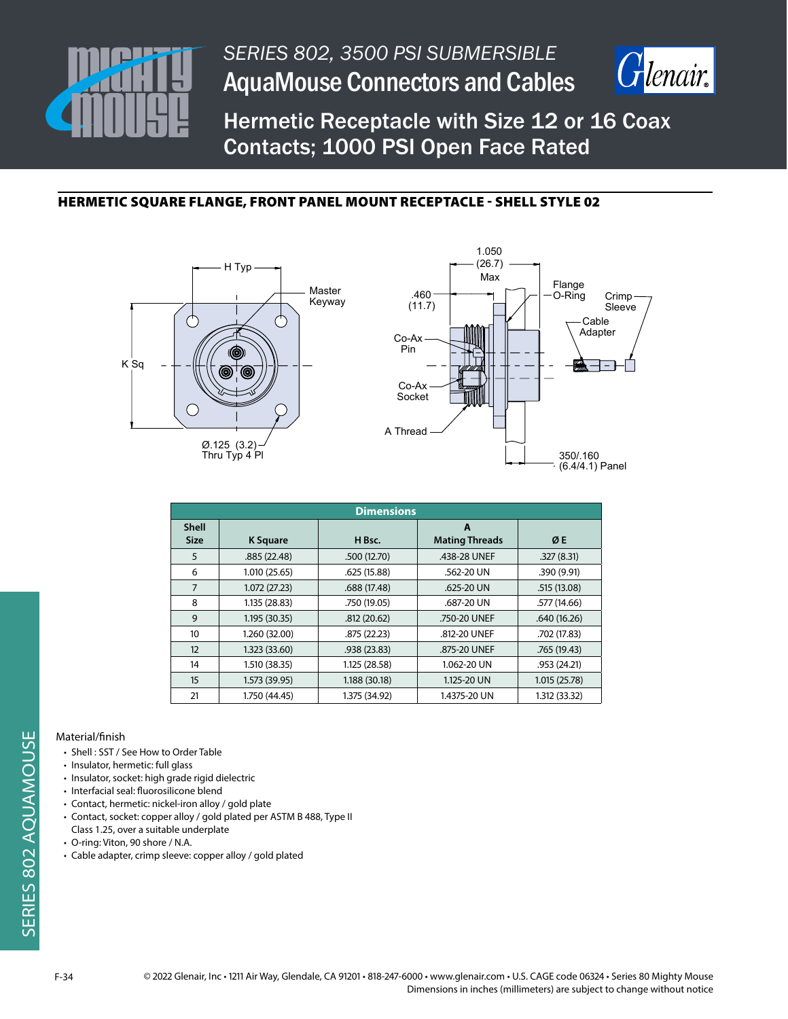



Hermetic Receptacle with Size 12 or 16 Coax Contacts; 1000 PSI Open Face Rated

# HERMETIC SQUARE FLANGE, FRONT PANEL MOUNT RECEPTACLE - SHELL STYLE 02





| <b>Dimensions</b>           |                 |               |                            |               |  |  |
|-----------------------------|-----------------|---------------|----------------------------|---------------|--|--|
| <b>Shell</b><br><b>Size</b> | <b>K</b> Square | H Bsc.        | A<br><b>Mating Threads</b> | ØE            |  |  |
| 5                           | .885(22.48)     | .500 (12.70)  | .438-28 UNEF               | .327(8.31)    |  |  |
| 6                           | 1.010(25.65)    | .625(15.88)   | .562-20 UN                 | .390 (9.91)   |  |  |
| 7                           | 1.072(27.23)    | .688 (17.48)  | .625-20 UN                 | .515(13.08)   |  |  |
| 8                           | 1.135 (28.83)   | .750 (19.05)  | .687-20 UN                 | .577 (14.66)  |  |  |
| 9                           | 1.195 (30.35)   | .812(20.62)   | .750-20 UNEF               | .640(16.26)   |  |  |
| 10                          | 1.260 (32.00)   | .875 (22.23)  | .812-20 UNEF               | .702 (17.83)  |  |  |
| 12                          | 1.323(33.60)    | .938 (23.83)  | .875-20 UNEF               | .765(19.43)   |  |  |
| 14                          | 1.510 (38.35)   | 1.125 (28.58) | 1.062-20 UN                | .953(24.21)   |  |  |
| 15                          | 1.573 (39.95)   | 1.188 (30.18) | 1.125-20 UN                | 1.015(25.78)  |  |  |
| 21                          | 1.750 (44.45)   | 1.375 (34.92) | 1.4375-20 UN               | 1.312 (33.32) |  |  |

- Shell : SST / See How to Order Table
- Insulator, hermetic: full glass
- Insulator, socket: high grade rigid dielectric
- Interfacial seal: fluorosilicone blend
- Contact, hermetic: nickel-iron alloy / gold plate
- Contact, socket: copper alloy / gold plated per ASTM B 488, Type II
- Class 1.25, over a suitable underplate
- O-ring: Viton, 90 shore / N.A.
- Cable adapter, crimp sleeve: copper alloy / gold plated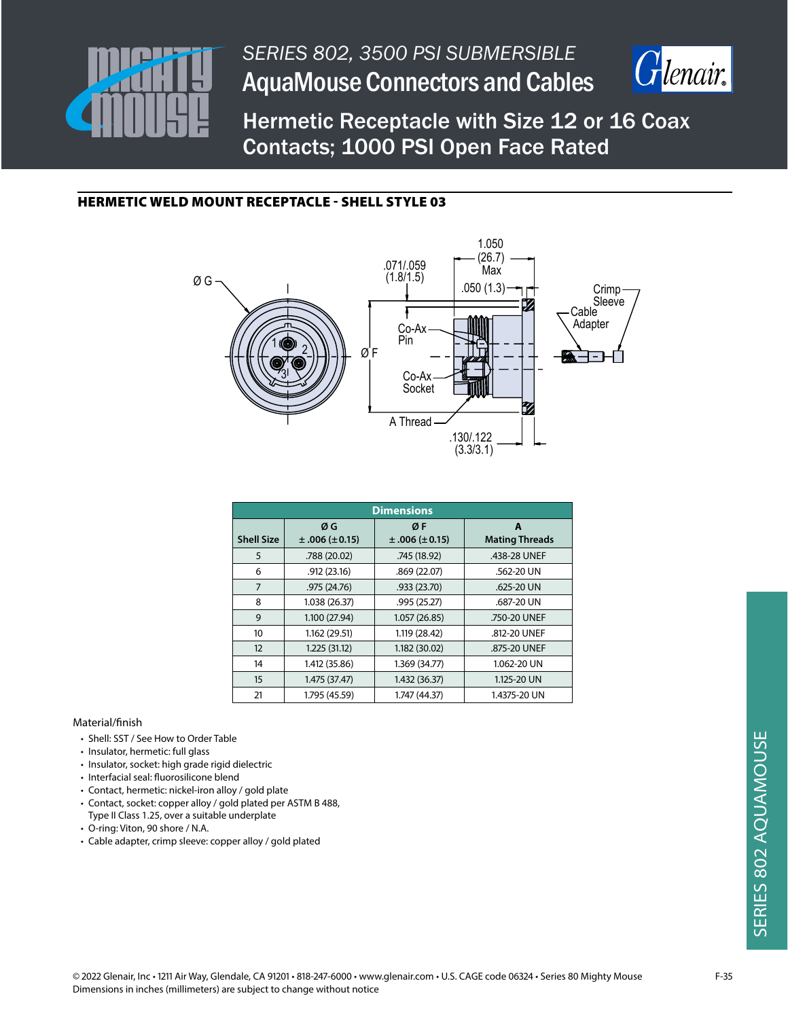



Hermetic Receptacle with Size 12 or 16 Coax Contacts; 1000 PSI Open Face Rated

## HERMETIC WELD MOUNT RECEPTACLE - SHELL STYLE 03



| <b>Dimensions</b> |                          |                          |                            |  |  |  |
|-------------------|--------------------------|--------------------------|----------------------------|--|--|--|
| <b>Shell Size</b> | ØG<br>$±.006 (\pm 0.15)$ | ØF<br>$±.006 (\pm 0.15)$ | A<br><b>Mating Threads</b> |  |  |  |
| 5                 | .788 (20.02)             | .745 (18.92)             | .438-28 UNEF               |  |  |  |
| 6                 | .912(23.16)              | .869(22.07)              | .562-20 UN                 |  |  |  |
| 7                 | .975 (24.76)             | .933 (23.70)             | .625-20 UN                 |  |  |  |
| 8                 | 1.038 (26.37)            | .995 (25.27)             | .687-20 UN                 |  |  |  |
| 9                 | 1.100 (27.94)            | 1.057(26.85)             | .750-20 UNEF               |  |  |  |
| 10                | 1.162 (29.51)            | 1.119 (28.42)            | .812-20 UNEF               |  |  |  |
| 12                | 1.225 (31.12)            | 1.182 (30.02)            | .875-20 UNEF               |  |  |  |
| 14                | 1.412 (35.86)            | 1.369 (34.77)            | 1.062-20 UN                |  |  |  |
| 15                | 1.475 (37.47)            | 1.432 (36.37)            | 1.125-20 UN                |  |  |  |
| 21                | 1.795 (45.59)            | 1.747 (44.37)            | 1.4375-20 UN               |  |  |  |

- Shell: SST / See How to Order Table
- Insulator, hermetic: full glass
- Insulator, socket: high grade rigid dielectric
- Interfacial seal: fluorosilicone blend
- Contact, hermetic: nickel-iron alloy / gold plate
- Contact, socket: copper alloy / gold plated per ASTM B 488,
- Type II Class 1.25, over a suitable underplate
- O-ring: Viton, 90 shore / N.A.
- Cable adapter, crimp sleeve: copper alloy / gold plated